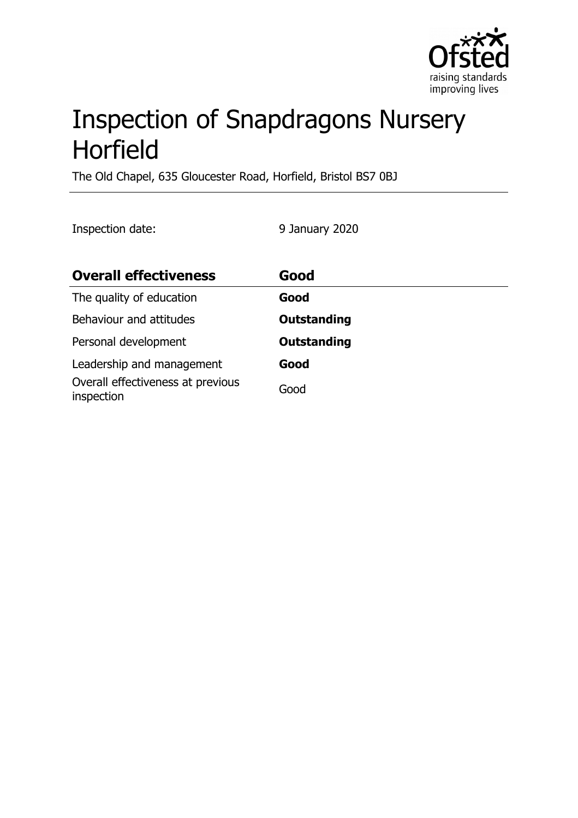

# Inspection of Snapdragons Nursery Horfield

The Old Chapel, 635 Gloucester Road, Horfield, Bristol BS7 0BJ

Inspection date: 9 January 2020

| <b>Overall effectiveness</b>                    | Good               |
|-------------------------------------------------|--------------------|
| The quality of education                        | Good               |
| Behaviour and attitudes                         | <b>Outstanding</b> |
| Personal development                            | <b>Outstanding</b> |
| Leadership and management                       | Good               |
| Overall effectiveness at previous<br>inspection | Good               |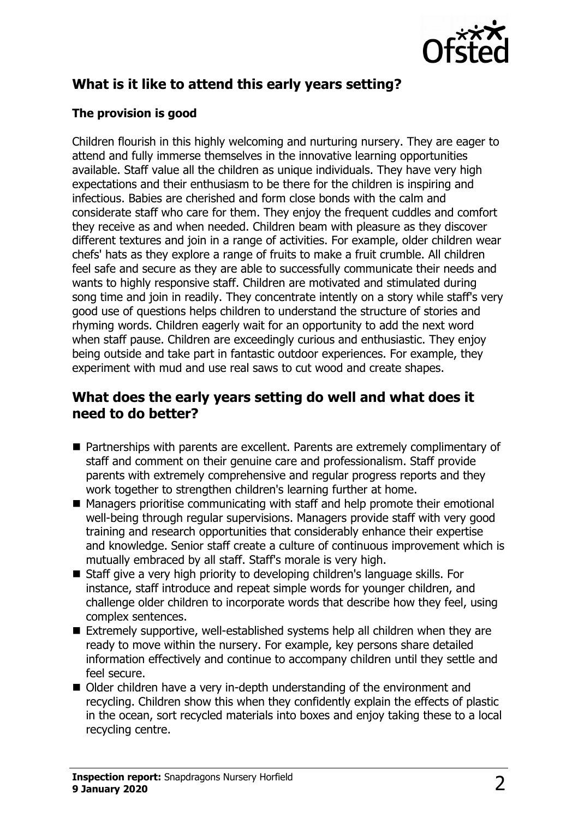

# **What is it like to attend this early years setting?**

#### **The provision is good**

Children flourish in this highly welcoming and nurturing nursery. They are eager to attend and fully immerse themselves in the innovative learning opportunities available. Staff value all the children as unique individuals. They have very high expectations and their enthusiasm to be there for the children is inspiring and infectious. Babies are cherished and form close bonds with the calm and considerate staff who care for them. They enjoy the frequent cuddles and comfort they receive as and when needed. Children beam with pleasure as they discover different textures and join in a range of activities. For example, older children wear chefs' hats as they explore a range of fruits to make a fruit crumble. All children feel safe and secure as they are able to successfully communicate their needs and wants to highly responsive staff. Children are motivated and stimulated during song time and join in readily. They concentrate intently on a story while staff's very good use of questions helps children to understand the structure of stories and rhyming words. Children eagerly wait for an opportunity to add the next word when staff pause. Children are exceedingly curious and enthusiastic. They enjoy being outside and take part in fantastic outdoor experiences. For example, they experiment with mud and use real saws to cut wood and create shapes.

## **What does the early years setting do well and what does it need to do better?**

- Partnerships with parents are excellent. Parents are extremely complimentary of staff and comment on their genuine care and professionalism. Staff provide parents with extremely comprehensive and regular progress reports and they work together to strengthen children's learning further at home.
- $\blacksquare$  Managers prioritise communicating with staff and help promote their emotional well-being through regular supervisions. Managers provide staff with very good training and research opportunities that considerably enhance their expertise and knowledge. Senior staff create a culture of continuous improvement which is mutually embraced by all staff. Staff's morale is very high.
- $\blacksquare$  Staff give a very high priority to developing children's language skills. For instance, staff introduce and repeat simple words for younger children, and challenge older children to incorporate words that describe how they feel, using complex sentences.
- $\blacksquare$  Extremely supportive, well-established systems help all children when they are ready to move within the nursery. For example, key persons share detailed information effectively and continue to accompany children until they settle and feel secure.
- Older children have a very in-depth understanding of the environment and recycling. Children show this when they confidently explain the effects of plastic in the ocean, sort recycled materials into boxes and enjoy taking these to a local recycling centre.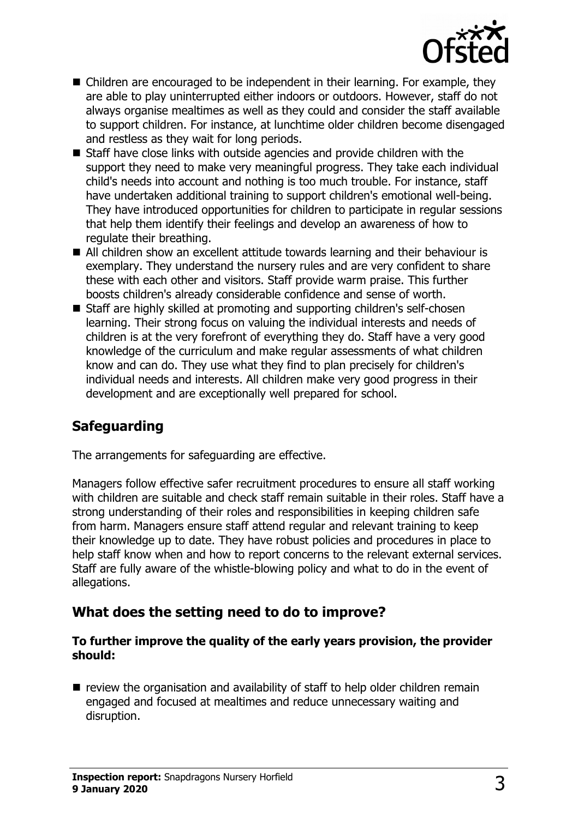

- $\blacksquare$  Children are encouraged to be independent in their learning. For example, they are able to play uninterrupted either indoors or outdoors. However, staff do not always organise mealtimes as well as they could and consider the staff available to support children. For instance, at lunchtime older children become disengaged and restless as they wait for long periods.
- Staff have close links with outside agencies and provide children with the support they need to make very meaningful progress. They take each individual child's needs into account and nothing is too much trouble. For instance, staff have undertaken additional training to support children's emotional well-being. They have introduced opportunities for children to participate in regular sessions that help them identify their feelings and develop an awareness of how to regulate their breathing.
- All children show an excellent attitude towards learning and their behaviour is exemplary. They understand the nursery rules and are very confident to share these with each other and visitors. Staff provide warm praise. This further boosts children's already considerable confidence and sense of worth.
- Staff are highly skilled at promoting and supporting children's self-chosen learning. Their strong focus on valuing the individual interests and needs of children is at the very forefront of everything they do. Staff have a very good knowledge of the curriculum and make regular assessments of what children know and can do. They use what they find to plan precisely for children's individual needs and interests. All children make very good progress in their development and are exceptionally well prepared for school.

## **Safeguarding**

The arrangements for safeguarding are effective.

Managers follow effective safer recruitment procedures to ensure all staff working with children are suitable and check staff remain suitable in their roles. Staff have a strong understanding of their roles and responsibilities in keeping children safe from harm. Managers ensure staff attend regular and relevant training to keep their knowledge up to date. They have robust policies and procedures in place to help staff know when and how to report concerns to the relevant external services. Staff are fully aware of the whistle-blowing policy and what to do in the event of allegations.

### **What does the setting need to do to improve?**

#### **To further improve the quality of the early years provision, the provider should:**

 $\blacksquare$  review the organisation and availability of staff to help older children remain engaged and focused at mealtimes and reduce unnecessary waiting and disruption.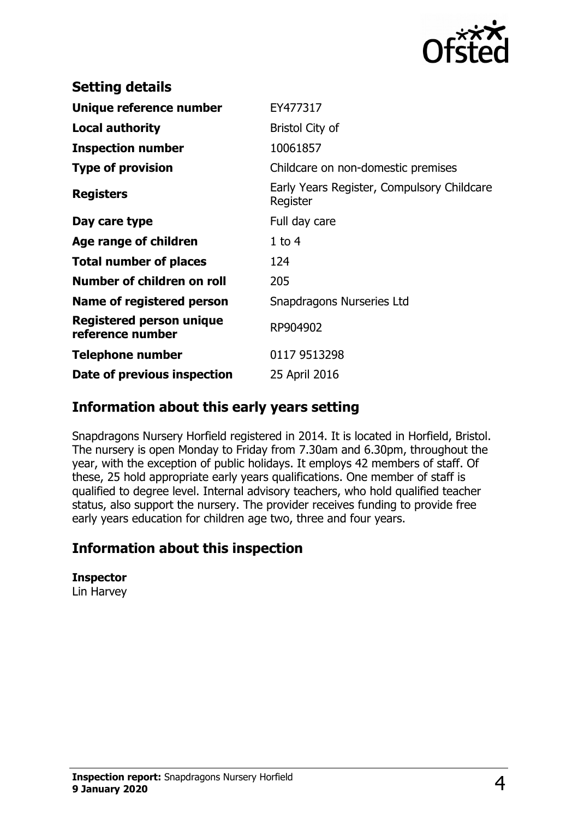

| <b>Setting details</b>                              |                                                        |
|-----------------------------------------------------|--------------------------------------------------------|
| Unique reference number                             | EY477317                                               |
| <b>Local authority</b>                              | <b>Bristol City of</b>                                 |
| <b>Inspection number</b>                            | 10061857                                               |
| <b>Type of provision</b>                            | Childcare on non-domestic premises                     |
| <b>Registers</b>                                    | Early Years Register, Compulsory Childcare<br>Register |
| Day care type                                       | Full day care                                          |
| Age range of children                               | $1$ to $4$                                             |
| <b>Total number of places</b>                       | 124                                                    |
| Number of children on roll                          | 205                                                    |
| Name of registered person                           | Snapdragons Nurseries Ltd                              |
| <b>Registered person unique</b><br>reference number | RP904902                                               |
| <b>Telephone number</b>                             | 0117 9513298                                           |
| Date of previous inspection                         | 25 April 2016                                          |
|                                                     |                                                        |

### **Information about this early years setting**

Snapdragons Nursery Horfield registered in 2014. It is located in Horfield, Bristol. The nursery is open Monday to Friday from 7.30am and 6.30pm, throughout the year, with the exception of public holidays. It employs 42 members of staff. Of these, 25 hold appropriate early years qualifications. One member of staff is qualified to degree level. Internal advisory teachers, who hold qualified teacher status, also support the nursery. The provider receives funding to provide free early years education for children age two, three and four years.

### **Information about this inspection**

```
Inspector
Lin Harvey
```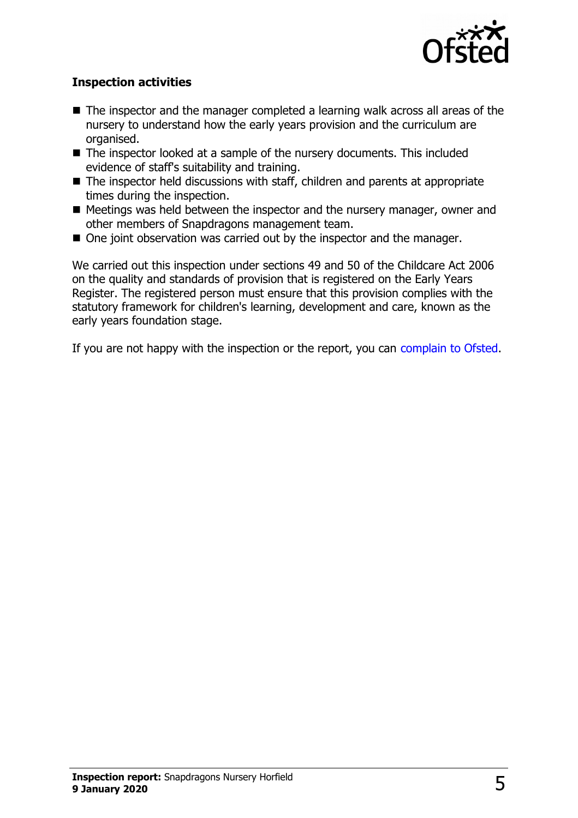

#### **Inspection activities**

- $\blacksquare$  The inspector and the manager completed a learning walk across all areas of the nursery to understand how the early years provision and the curriculum are organised.
- The inspector looked at a sample of the nursery documents. This included evidence of staff's suitability and training.
- $\blacksquare$  The inspector held discussions with staff, children and parents at appropriate times during the inspection.
- $\blacksquare$  Meetings was held between the inspector and the nursery manager, owner and other members of Snapdragons management team.
- $\blacksquare$  One joint observation was carried out by the inspector and the manager.

We carried out this inspection under sections 49 and 50 of the Childcare Act 2006 on the quality and standards of provision that is registered on the Early Years Register. The registered person must ensure that this provision complies with the statutory framework for children's learning, development and care, known as the early years foundation stage.

If you are not happy with the inspection or the report, you can [complain to Ofsted.](http://www.gov.uk/complain-ofsted-report)